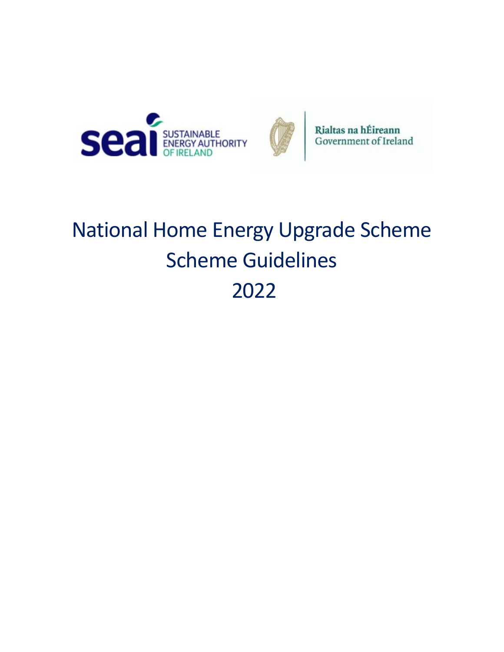



Rialtas na hÉireann Government of Ireland

# National Home Energy Upgrade Scheme Scheme Guidelines 2022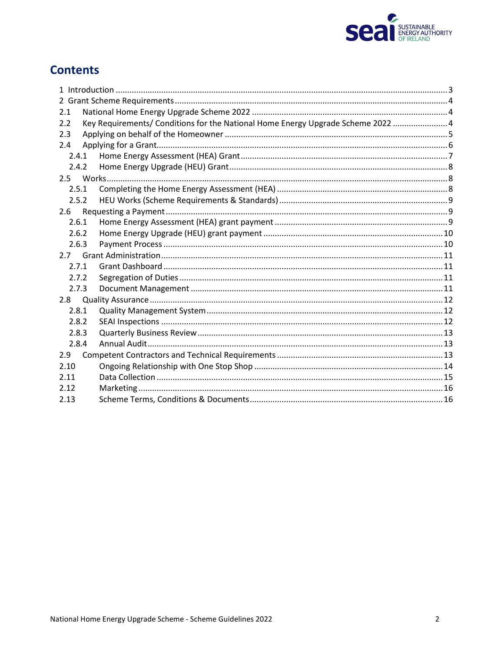

## **Contents**

| 2.1   |                                                                                  |  |
|-------|----------------------------------------------------------------------------------|--|
| 2.2   | Key Requirements/ Conditions for the National Home Energy Upgrade Scheme 2022  4 |  |
| 2.3   |                                                                                  |  |
| 2.4   |                                                                                  |  |
| 2.4.1 |                                                                                  |  |
| 2.4.2 |                                                                                  |  |
|       |                                                                                  |  |
| 2.5.1 |                                                                                  |  |
| 2.5.2 |                                                                                  |  |
| 2.6   |                                                                                  |  |
| 2.6.1 |                                                                                  |  |
| 2.6.2 |                                                                                  |  |
| 2.6.3 |                                                                                  |  |
|       |                                                                                  |  |
| 2.7.1 |                                                                                  |  |
| 2.7.2 |                                                                                  |  |
| 2.7.3 |                                                                                  |  |
| 2.8   |                                                                                  |  |
| 2.8.1 |                                                                                  |  |
| 2.8.2 |                                                                                  |  |
| 2.8.3 |                                                                                  |  |
| 2.8.4 |                                                                                  |  |
| 2.9   |                                                                                  |  |
| 2.10  |                                                                                  |  |
| 2.11  |                                                                                  |  |
| 2.12  |                                                                                  |  |
| 2.13  |                                                                                  |  |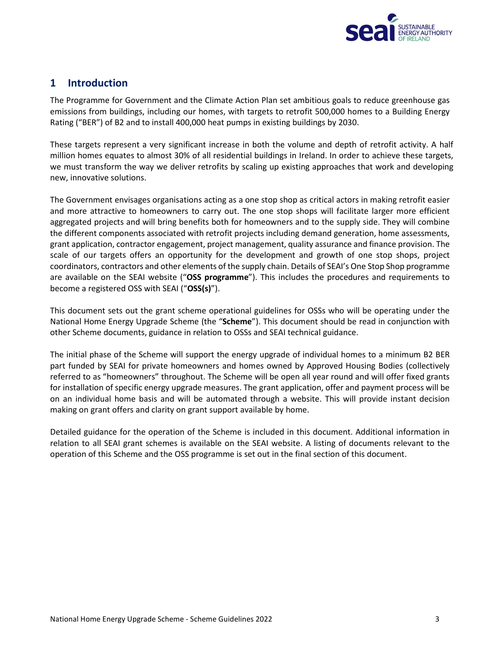

## <span id="page-2-0"></span>**1 Introduction**

The Programme for Government and the Climate Action Plan set ambitious goals to reduce greenhouse gas emissions from buildings, including our homes, with targets to retrofit 500,000 homes to a Building Energy Rating ("BER") of B2 and to install 400,000 heat pumps in existing buildings by 2030.

These targets represent a very significant increase in both the volume and depth of retrofit activity. A half million homes equates to almost 30% of all residential buildings in Ireland. In order to achieve these targets, we must transform the way we deliver retrofits by scaling up existing approaches that work and developing new, innovative solutions.

The Government envisages organisations acting as a one stop shop as critical actors in making retrofit easier and more attractive to homeowners to carry out. The one stop shops will facilitate larger more efficient aggregated projects and will bring benefits both for homeowners and to the supply side. They will combine the different components associated with retrofit projects including demand generation, home assessments, grant application, contractor engagement, project management, quality assurance and finance provision. The scale of our targets offers an opportunity for the development and growth of one stop shops, project coordinators, contractors and other elements of the supply chain. Details of SEAI's One Stop Shop programme are available on the SEAI website ("**OSS programme**"). This includes the procedures and requirements to become a registered OSS with SEAI ("**OSS(s)**").

This document sets out the grant scheme operational guidelines for OSSs who will be operating under the National Home Energy Upgrade Scheme (the "**Scheme**"). This document should be read in conjunction with other Scheme documents, guidance in relation to OSSs and SEAI technical guidance.

The initial phase of the Scheme will support the energy upgrade of individual homes to a minimum B2 BER part funded by SEAI for private homeowners and homes owned by Approved Housing Bodies (collectively referred to as "homeowners" throughout. The Scheme will be open all year round and will offer fixed grants for installation of specific energy upgrade measures. The grant application, offer and payment process will be on an individual home basis and will be automated through a website. This will provide instant decision making on grant offers and clarity on grant support available by home.

Detailed guidance for the operation of the Scheme is included in this document. Additional information in relation to all SEAI grant schemes is available on the SEAI website. A listing of documents relevant to the operation of this Scheme and the OSS programme is set out in the final section of this document.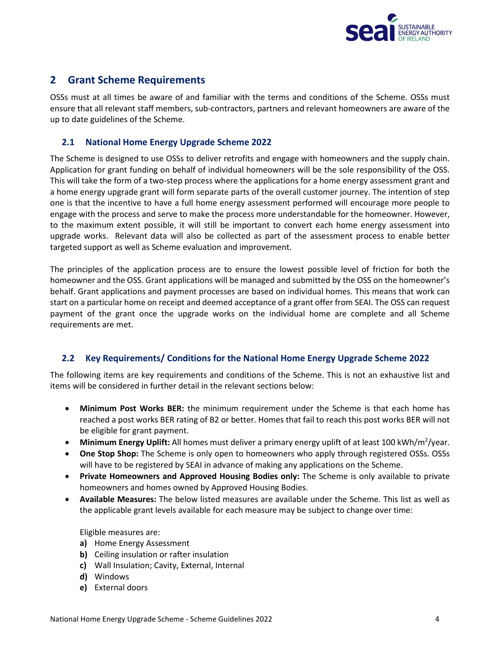

## <span id="page-3-0"></span>**2 Grant Scheme Requirements**

OSSs must at all times be aware of and familiar with the terms and conditions of the Scheme. OSSs must ensure that all relevant staff members, sub-contractors, partners and relevant homeowners are aware of the up to date guidelines of the Scheme.

#### <span id="page-3-1"></span>**2.1 National Home Energy Upgrade Scheme 2022**

The Scheme is designed to use OSSs to deliver retrofits and engage with homeowners and the supply chain. Application for grant funding on behalf of individual homeowners will be the sole responsibility of the OSS. This will take the form of a two-step process where the applications for a home energy assessment grant and a home energy upgrade grant will form separate parts of the overall customer journey. The intention of step one is that the incentive to have a full home energy assessment performed will encourage more people to engage with the process and serve to make the process more understandable for the homeowner. However, to the maximum extent possible, it will still be important to convert each home energy assessment into upgrade works. Relevant data will also be collected as part of the assessment process to enable better targeted support as well as Scheme evaluation and improvement.

The principles of the application process are to ensure the lowest possible level of friction for both the homeowner and the OSS. Grant applications will be managed and submitted by the OSS on the homeowner's behalf. Grant applications and payment processes are based on individual homes. This means that work can start on a particular home on receipt and deemed acceptance of a grant offer from SEAI. The OSS can request payment of the grant once the upgrade works on the individual home are complete and all Scheme requirements are met.

### <span id="page-3-2"></span>**2.2 Key Requirements/ Conditions for the National Home Energy Upgrade Scheme 2022**

The following items are key requirements and conditions of the Scheme. This is not an exhaustive list and items will be considered in further detail in the relevant sections below:

- **Minimum Post Works BER:** the minimum requirement under the Scheme is that each home has reached a post works BER rating of B2 or better. Homes that fail to reach this post works BER will not be eligible for grant payment.
- Minimum Energy Uplift: All homes must deliver a primary energy uplift of at least 100 kWh/m<sup>2</sup>/year.
- **One Stop Shop:** The Scheme is only open to homeowners who apply through registered OSSs. OSSs will have to be registered by SEAI in advance of making any applications on the Scheme.
- **Private Homeowners and Approved Housing Bodies only:** The Scheme is only available to private homeowners and homes owned by Approved Housing Bodies.
- **Available Measures:** The below listed measures are available under the Scheme. This list as well as the applicable grant levels available for each measure may be subject to change over time:

Eligible measures are:

- **a)** Home Energy Assessment
- **b)** Ceiling insulation or rafter insulation
- **c)** Wall Insulation; Cavity, External, Internal
- **d)** Windows
- **e)** External doors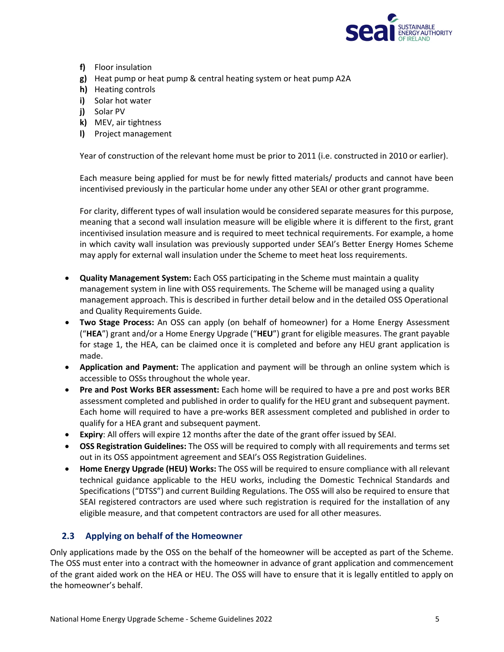

- **f)** Floor insulation
- **g)** Heat pump or heat pump & central heating system or heat pump A2A
- **h)** Heating controls
- **i)** Solar hot water
- **j)** Solar PV
- **k)** MEV, air tightness
- **l)** Project management

Year of construction of the relevant home must be prior to 2011 (i.e. constructed in 2010 or earlier).

Each measure being applied for must be for newly fitted materials/ products and cannot have been incentivised previously in the particular home under any other SEAI or other grant programme.

For clarity, different types of wall insulation would be considered separate measures for this purpose, meaning that a second wall insulation measure will be eligible where it is different to the first, grant incentivised insulation measure and is required to meet technical requirements. For example, a home in which cavity wall insulation was previously supported under SEAI's Better Energy Homes Scheme may apply for external wall insulation under the Scheme to meet heat loss requirements.

- **Quality Management System:** Each OSS participating in the Scheme must maintain a quality management system in line with OSS requirements. The Scheme will be managed using a quality management approach. This is described in further detail below and in the detailed OSS Operational and Quality Requirements Guide.
- **Two Stage Process:** An OSS can apply (on behalf of homeowner) for a Home Energy Assessment ("**HEA**") grant and/or a Home Energy Upgrade ("**HEU**") grant for eligible measures. The grant payable for stage 1, the HEA, can be claimed once it is completed and before any HEU grant application is made.
- **Application and Payment:** The application and payment will be through an online system which is accessible to OSSs throughout the whole year.
- **Pre and Post Works BER assessment:** Each home will be required to have a pre and post works BER assessment completed and published in order to qualify for the HEU grant and subsequent payment. Each home will required to have a pre-works BER assessment completed and published in order to qualify for a HEA grant and subsequent payment.
- **Expiry**: All offers will expire 12 months after the date of the grant offer issued by SEAI.
- **OSS Registration Guidelines:** The OSS will be required to comply with all requirements and terms set out in its OSS appointment agreement and SEAI's OSS Registration Guidelines.
- **Home Energy Upgrade (HEU) Works:** The OSS will be required to ensure compliance with all relevant technical guidance applicable to the HEU works, including the Domestic Technical Standards and Specifications ("DTSS") and current Building Regulations. The OSS will also be required to ensure that SEAI registered contractors are used where such registration is required for the installation of any eligible measure, and that competent contractors are used for all other measures.

#### <span id="page-4-0"></span>**2.3 Applying on behalf of the Homeowner**

Only applications made by the OSS on the behalf of the homeowner will be accepted as part of the Scheme. The OSS must enter into a contract with the homeowner in advance of grant application and commencement of the grant aided work on the HEA or HEU. The OSS will have to ensure that it is legally entitled to apply on the homeowner's behalf.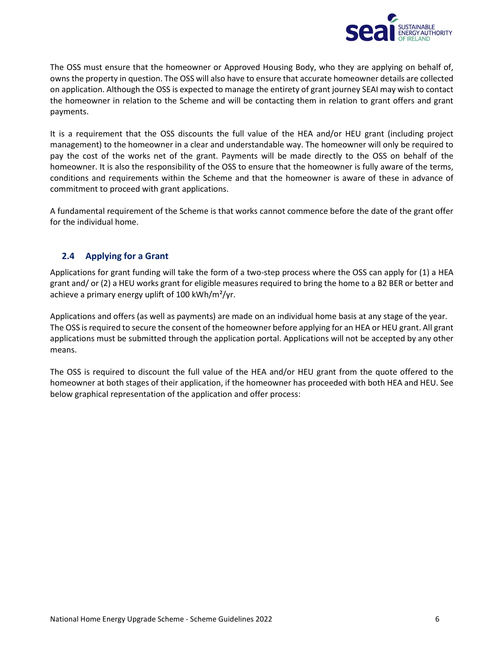

The OSS must ensure that the homeowner or Approved Housing Body, who they are applying on behalf of, owns the property in question. The OSS will also have to ensure that accurate homeowner details are collected on application. Although the OSS is expected to manage the entirety of grant journey SEAI may wish to contact the homeowner in relation to the Scheme and will be contacting them in relation to grant offers and grant payments.

It is a requirement that the OSS discounts the full value of the HEA and/or HEU grant (including project management) to the homeowner in a clear and understandable way. The homeowner will only be required to pay the cost of the works net of the grant. Payments will be made directly to the OSS on behalf of the homeowner. It is also the responsibility of the OSS to ensure that the homeowner is fully aware of the terms, conditions and requirements within the Scheme and that the homeowner is aware of these in advance of commitment to proceed with grant applications.

A fundamental requirement of the Scheme is that works cannot commence before the date of the grant offer for the individual home.

#### <span id="page-5-0"></span>**2.4 Applying for a Grant**

Applications for grant funding will take the form of a two-step process where the OSS can apply for (1) a HEA grant and/ or (2) a HEU works grant for eligible measures required to bring the home to a B2 BER or better and achieve a primary energy uplift of 100 kWh/m²/yr.

Applications and offers (as well as payments) are made on an individual home basis at any stage of the year. The OSS is required to secure the consent of the homeowner before applying for an HEA or HEU grant. All grant applications must be submitted through the application portal. Applications will not be accepted by any other means.

The OSS is required to discount the full value of the HEA and/or HEU grant from the quote offered to the homeowner at both stages of their application, if the homeowner has proceeded with both HEA and HEU. See below graphical representation of the application and offer process: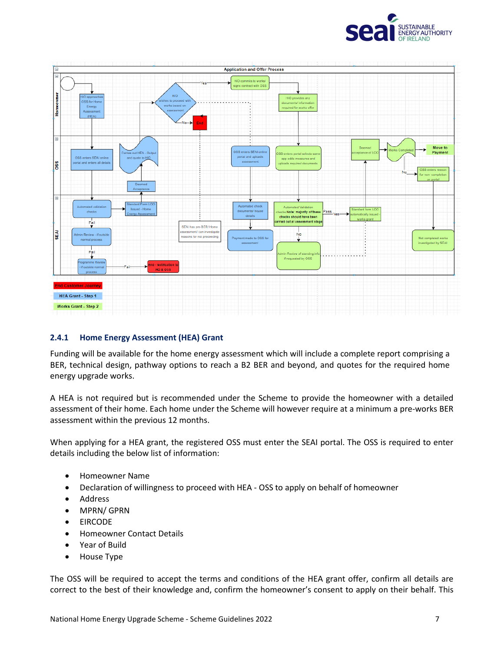



#### <span id="page-6-0"></span>**2.4.1 Home Energy Assessment (HEA) Grant**

Funding will be available for the home energy assessment which will include a complete report comprising a BER, technical design, pathway options to reach a B2 BER and beyond, and quotes for the required home energy upgrade works.

A HEA is not required but is recommended under the Scheme to provide the homeowner with a detailed assessment of their home. Each home under the Scheme will however require at a minimum a pre-works BER assessment within the previous 12 months.

When applying for a HEA grant, the registered OSS must enter the SEAI portal. The OSS is required to enter details including the below list of information:

- Homeowner Name
- Declaration of willingness to proceed with HEA OSS to apply on behalf of homeowner
- Address
- MPRN/ GPRN
- EIRCODE
- Homeowner Contact Details
- Year of Build
- House Type

The OSS will be required to accept the terms and conditions of the HEA grant offer, confirm all details are correct to the best of their knowledge and, confirm the homeowner's consent to apply on their behalf. This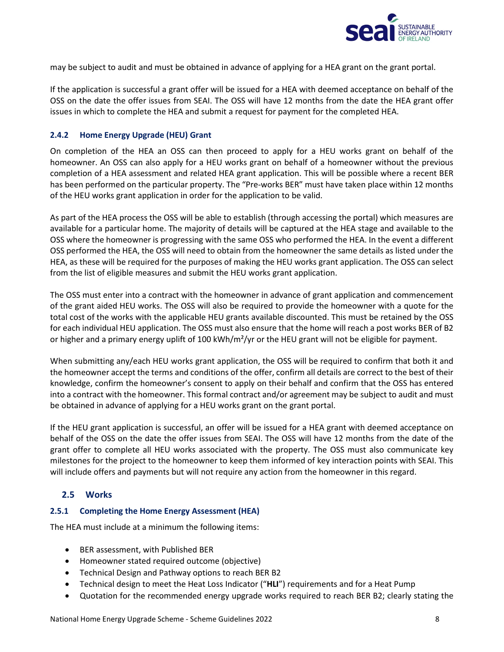

may be subject to audit and must be obtained in advance of applying for a HEA grant on the grant portal.

If the application is successful a grant offer will be issued for a HEA with deemed acceptance on behalf of the OSS on the date the offer issues from SEAI. The OSS will have 12 months from the date the HEA grant offer issues in which to complete the HEA and submit a request for payment for the completed HEA.

#### <span id="page-7-0"></span>**2.4.2 Home Energy Upgrade (HEU) Grant**

On completion of the HEA an OSS can then proceed to apply for a HEU works grant on behalf of the homeowner. An OSS can also apply for a HEU works grant on behalf of a homeowner without the previous completion of a HEA assessment and related HEA grant application. This will be possible where a recent BER has been performed on the particular property. The "Pre-works BER" must have taken place within 12 months of the HEU works grant application in order for the application to be valid.

As part of the HEA process the OSS will be able to establish (through accessing the portal) which measures are available for a particular home. The majority of details will be captured at the HEA stage and available to the OSS where the homeowner is progressing with the same OSS who performed the HEA. In the event a different OSS performed the HEA, the OSS will need to obtain from the homeowner the same details as listed under the HEA, as these will be required for the purposes of making the HEU works grant application. The OSS can select from the list of eligible measures and submit the HEU works grant application.

The OSS must enter into a contract with the homeowner in advance of grant application and commencement of the grant aided HEU works. The OSS will also be required to provide the homeowner with a quote for the total cost of the works with the applicable HEU grants available discounted. This must be retained by the OSS for each individual HEU application. The OSS must also ensure that the home will reach a post works BER of B2 or higher and a primary energy uplift of 100 kWh/m<sup>2</sup>/yr or the HEU grant will not be eligible for payment.

When submitting any/each HEU works grant application, the OSS will be required to confirm that both it and the homeowner accept the terms and conditions of the offer, confirm all details are correct to the best of their knowledge, confirm the homeowner's consent to apply on their behalf and confirm that the OSS has entered into a contract with the homeowner. This formal contract and/or agreement may be subject to audit and must be obtained in advance of applying for a HEU works grant on the grant portal.

If the HEU grant application is successful, an offer will be issued for a HEA grant with deemed acceptance on behalf of the OSS on the date the offer issues from SEAI. The OSS will have 12 months from the date of the grant offer to complete all HEU works associated with the property. The OSS must also communicate key milestones for the project to the homeowner to keep them informed of key interaction points with SEAI. This will include offers and payments but will not require any action from the homeowner in this regard.

#### <span id="page-7-1"></span>**2.5 Works**

#### <span id="page-7-2"></span>**2.5.1 Completing the Home Energy Assessment (HEA)**

The HEA must include at a minimum the following items:

- BER assessment, with Published BER
- Homeowner stated required outcome (objective)
- Technical Design and Pathway options to reach BER B2
- Technical design to meet the Heat Loss Indicator ("**HLI**") requirements and for a Heat Pump
- Quotation for the recommended energy upgrade works required to reach BER B2; clearly stating the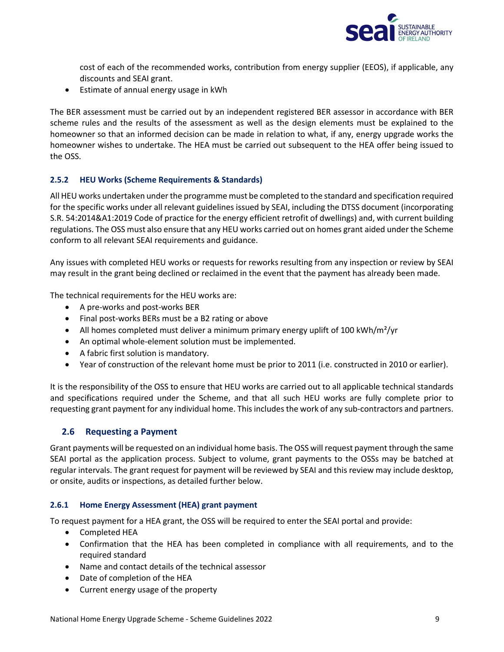

cost of each of the recommended works, contribution from energy supplier (EEOS), if applicable, any discounts and SEAI grant.

• Estimate of annual energy usage in kWh

The BER assessment must be carried out by an independent registered BER assessor in accordance with BER scheme rules and the results of the assessment as well as the design elements must be explained to the homeowner so that an informed decision can be made in relation to what, if any, energy upgrade works the homeowner wishes to undertake. The HEA must be carried out subsequent to the HEA offer being issued to the OSS.

#### <span id="page-8-0"></span>**2.5.2 HEU Works (Scheme Requirements & Standards)**

All HEU works undertaken under the programme must be completed to the standard and specification required for the specific works under all relevant guidelines issued by SEAI, including the DTSS document (incorporating S.R. 54:2014&A1:2019 Code of practice for the energy efficient retrofit of dwellings) and, with current building regulations. The OSS must also ensure that any HEU works carried out on homes grant aided under the Scheme conform to all relevant SEAI requirements and guidance.

Any issues with completed HEU works or requests for reworks resulting from any inspection or review by SEAI may result in the grant being declined or reclaimed in the event that the payment has already been made.

The technical requirements for the HEU works are:

- A pre-works and post-works BER
- Final post-works BERs must be a B2 rating or above
- All homes completed must deliver a minimum primary energy uplift of 100 kWh/m<sup>2</sup>/yr
- An optimal whole-element solution must be implemented.
- A fabric first solution is mandatory.
- Year of construction of the relevant home must be prior to 2011 (i.e. constructed in 2010 or earlier).

It is the responsibility of the OSS to ensure that HEU works are carried out to all applicable technical standards and specifications required under the Scheme, and that all such HEU works are fully complete prior to requesting grant payment for any individual home. This includes the work of any sub-contractors and partners.

#### <span id="page-8-1"></span>**2.6 Requesting a Payment**

Grant payments will be requested on an individual home basis. The OSS will request payment through the same SEAI portal as the application process. Subject to volume, grant payments to the OSSs may be batched at regular intervals. The grant request for payment will be reviewed by SEAI and this review may include desktop, or onsite, audits or inspections, as detailed further below.

#### <span id="page-8-2"></span>**2.6.1 Home Energy Assessment (HEA) grant payment**

To request payment for a HEA grant, the OSS will be required to enter the SEAI portal and provide:

- Completed HEA
- Confirmation that the HEA has been completed in compliance with all requirements, and to the required standard
- Name and contact details of the technical assessor
- Date of completion of the HEA
- Current energy usage of the property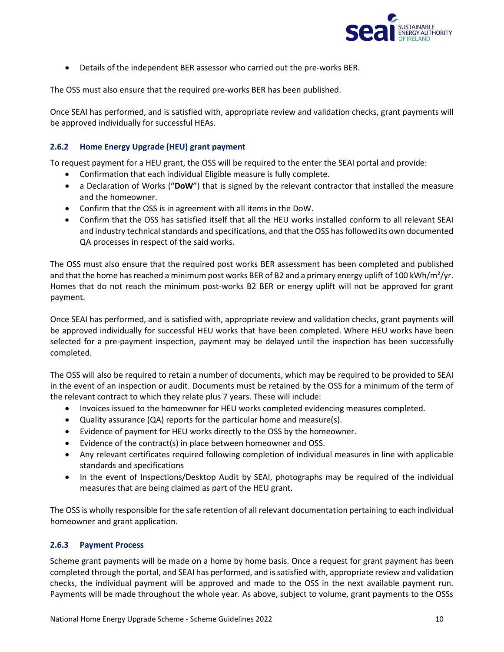

• Details of the independent BER assessor who carried out the pre-works BER.

The OSS must also ensure that the required pre-works BER has been published.

Once SEAI has performed, and is satisfied with, appropriate review and validation checks, grant payments will be approved individually for successful HEAs.

#### <span id="page-9-0"></span>**2.6.2 Home Energy Upgrade (HEU) grant payment**

To request payment for a HEU grant, the OSS will be required to the enter the SEAI portal and provide:

- Confirmation that each individual Eligible measure is fully complete.
- a Declaration of Works ("**DoW**") that is signed by the relevant contractor that installed the measure and the homeowner.
- Confirm that the OSS is in agreement with all items in the DoW.
- Confirm that the OSS has satisfied itself that all the HEU works installed conform to all relevant SEAI and industry technical standards and specifications, and that the OSS has followed its own documented QA processes in respect of the said works.

The OSS must also ensure that the required post works BER assessment has been completed and published and that the home has reached a minimum post works BER of B2 and a primary energy uplift of 100 kWh/m²/yr. Homes that do not reach the minimum post-works B2 BER or energy uplift will not be approved for grant payment.

Once SEAI has performed, and is satisfied with, appropriate review and validation checks, grant payments will be approved individually for successful HEU works that have been completed. Where HEU works have been selected for a pre-payment inspection, payment may be delayed until the inspection has been successfully completed.

The OSS will also be required to retain a number of documents, which may be required to be provided to SEAI in the event of an inspection or audit. Documents must be retained by the OSS for a minimum of the term of the relevant contract to which they relate plus 7 years. These will include:

- Invoices issued to the homeowner for HEU works completed evidencing measures completed.
- Quality assurance (QA) reports for the particular home and measure(s).
- Evidence of payment for HEU works directly to the OSS by the homeowner.
- Evidence of the contract(s) in place between homeowner and OSS.
- Any relevant certificates required following completion of individual measures in line with applicable standards and specifications
- In the event of Inspections/Desktop Audit by SEAI, photographs may be required of the individual measures that are being claimed as part of the HEU grant.

The OSS is wholly responsible for the safe retention of all relevant documentation pertaining to each individual homeowner and grant application.

#### <span id="page-9-1"></span>**2.6.3 Payment Process**

Scheme grant payments will be made on a home by home basis. Once a request for grant payment has been completed through the portal, and SEAI has performed, and is satisfied with, appropriate review and validation checks, the individual payment will be approved and made to the OSS in the next available payment run. Payments will be made throughout the whole year. As above, subject to volume, grant payments to the OSSs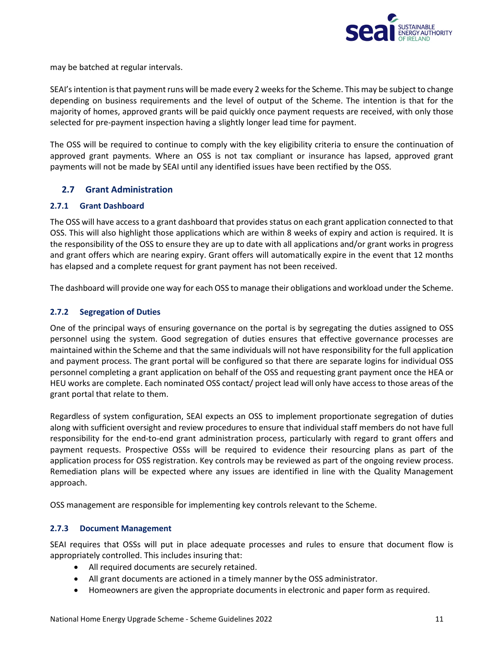

may be batched at regular intervals.

SEAI's intention is that payment runs will be made every 2 weeks for the Scheme. This may be subject to change depending on business requirements and the level of output of the Scheme. The intention is that for the majority of homes, approved grants will be paid quickly once payment requests are received, with only those selected for pre-payment inspection having a slightly longer lead time for payment.

The OSS will be required to continue to comply with the key eligibility criteria to ensure the continuation of approved grant payments. Where an OSS is not tax compliant or insurance has lapsed, approved grant payments will not be made by SEAI until any identified issues have been rectified by the OSS.

#### <span id="page-10-0"></span>**2.7 Grant Administration**

#### <span id="page-10-1"></span>**2.7.1 Grant Dashboard**

The OSS will have access to a grant dashboard that provides status on each grant application connected to that OSS. This will also highlight those applications which are within 8 weeks of expiry and action is required. It is the responsibility of the OSS to ensure they are up to date with all applications and/or grant works in progress and grant offers which are nearing expiry. Grant offers will automatically expire in the event that 12 months has elapsed and a complete request for grant payment has not been received.

The dashboard will provide one way for each OSS to manage their obligations and workload under the Scheme.

#### <span id="page-10-2"></span>**2.7.2 Segregation of Duties**

One of the principal ways of ensuring governance on the portal is by segregating the duties assigned to OSS personnel using the system. Good segregation of duties ensures that effective governance processes are maintained within the Scheme and that the same individuals will not have responsibility for the full application and payment process. The grant portal will be configured so that there are separate logins for individual OSS personnel completing a grant application on behalf of the OSS and requesting grant payment once the HEA or HEU works are complete. Each nominated OSS contact/ project lead will only have access to those areas of the grant portal that relate to them.

Regardless of system configuration, SEAI expects an OSS to implement proportionate segregation of duties along with sufficient oversight and review procedures to ensure that individual staff members do not have full responsibility for the end-to-end grant administration process, particularly with regard to grant offers and payment requests. Prospective OSSs will be required to evidence their resourcing plans as part of the application process for OSS registration. Key controls may be reviewed as part of the ongoing review process. Remediation plans will be expected where any issues are identified in line with the Quality Management approach.

OSS management are responsible for implementing key controls relevant to the Scheme.

#### <span id="page-10-3"></span>**2.7.3 Document Management**

SEAI requires that OSSs will put in place adequate processes and rules to ensure that document flow is appropriately controlled. This includes insuring that:

- All required documents are securely retained.
- All grant documents are actioned in a timely manner by the OSS administrator.
- Homeowners are given the appropriate documents in electronic and paper form as required.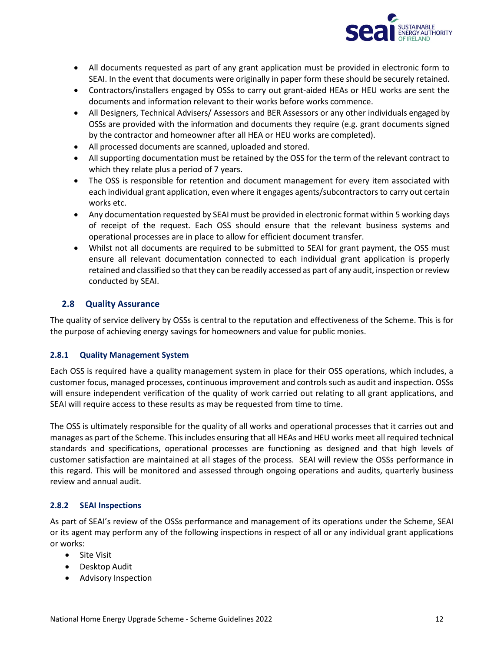

- All documents requested as part of any grant application must be provided in electronic form to SEAI. In the event that documents were originally in paper form these should be securely retained.
- Contractors/installers engaged by OSSs to carry out grant-aided HEAs or HEU works are sent the documents and information relevant to their works before works commence.
- All Designers, Technical Advisers/ Assessors and BER Assessors or any other individuals engaged by OSSs are provided with the information and documents they require (e.g. grant documents signed by the contractor and homeowner after all HEA or HEU works are completed).
- All processed documents are scanned, uploaded and stored.
- All supporting documentation must be retained by the OSS for the term of the relevant contract to which they relate plus a period of 7 years.
- The OSS is responsible for retention and document management for every item associated with each individual grant application, even where it engages agents/subcontractors to carry out certain works etc.
- Any documentation requested by SEAI must be provided in electronic format within 5 working days of receipt of the request. Each OSS should ensure that the relevant business systems and operational processes are in place to allow for efficient document transfer.
- Whilst not all documents are required to be submitted to SEAI for grant payment, the OSS must ensure all relevant documentation connected to each individual grant application is properly retained and classified so that they can be readily accessed as part of any audit, inspection or review conducted by SEAI.

#### <span id="page-11-0"></span>**2.8 Quality Assurance**

The quality of service delivery by OSSs is central to the reputation and effectiveness of the Scheme. This is for the purpose of achieving energy savings for homeowners and value for public monies.

#### <span id="page-11-1"></span>**2.8.1 Quality Management System**

Each OSS is required have a quality management system in place for their OSS operations, which includes, a customer focus, managed processes, continuous improvement and controls such as audit and inspection. OSSs will ensure independent verification of the quality of work carried out relating to all grant applications, and SEAI will require access to these results as may be requested from time to time.

The OSS is ultimately responsible for the quality of all works and operational processes that it carries out and manages as part of the Scheme. This includes ensuring that all HEAs and HEU works meet all required technical standards and specifications, operational processes are functioning as designed and that high levels of customer satisfaction are maintained at all stages of the process. SEAI will review the OSSs performance in this regard. This will be monitored and assessed through ongoing operations and audits, quarterly business review and annual audit.

#### <span id="page-11-2"></span>**2.8.2 SEAI Inspections**

As part of SEAI's review of the OSSs performance and management of its operations under the Scheme, SEAI or its agent may perform any of the following inspections in respect of all or any individual grant applications or works:

- Site Visit
- Desktop Audit
- Advisory Inspection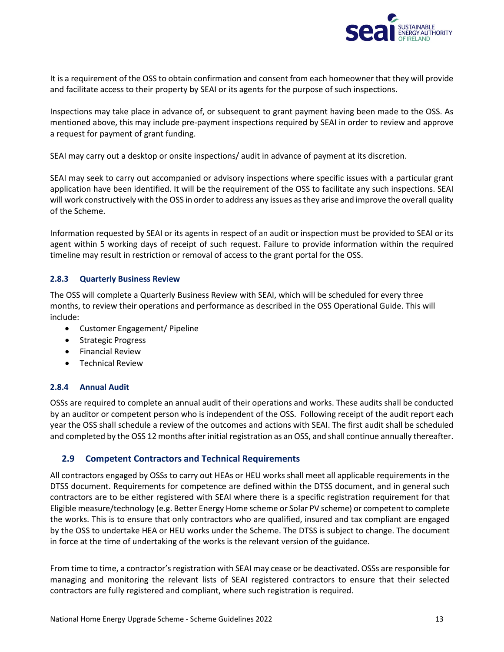

It is a requirement of the OSS to obtain confirmation and consent from each homeowner that they will provide and facilitate access to their property by SEAI or its agents for the purpose of such inspections.

Inspections may take place in advance of, or subsequent to grant payment having been made to the OSS. As mentioned above, this may include pre-payment inspections required by SEAI in order to review and approve a request for payment of grant funding.

SEAI may carry out a desktop or onsite inspections/ audit in advance of payment at its discretion.

SEAI may seek to carry out accompanied or advisory inspections where specific issues with a particular grant application have been identified. It will be the requirement of the OSS to facilitate any such inspections. SEAI will work constructively with the OSS in order to address any issues as they arise and improve the overall quality of the Scheme.

Information requested by SEAI or its agents in respect of an audit or inspection must be provided to SEAI or its agent within 5 working days of receipt of such request. Failure to provide information within the required timeline may result in restriction or removal of access to the grant portal for the OSS.

#### <span id="page-12-0"></span>**2.8.3 Quarterly Business Review**

The OSS will complete a Quarterly Business Review with SEAI, which will be scheduled for every three months, to review their operations and performance as described in the OSS Operational Guide. This will include:

- Customer Engagement/ Pipeline
- Strategic Progress
- Financial Review
- Technical Review

#### <span id="page-12-1"></span>**2.8.4 Annual Audit**

OSSs are required to complete an annual audit of their operations and works. These audits shall be conducted by an auditor or competent person who is independent of the OSS. Following receipt of the audit report each year the OSS shall schedule a review of the outcomes and actions with SEAI. The first audit shall be scheduled and completed by the OSS 12 months after initial registration as an OSS, and shall continue annually thereafter.

#### <span id="page-12-2"></span>**2.9 Competent Contractors and Technical Requirements**

All contractors engaged by OSSs to carry out HEAs or HEU works shall meet all applicable requirements in the DTSS document. Requirements for competence are defined within the DTSS document, and in general such contractors are to be either registered with SEAI where there is a specific registration requirement for that Eligible measure/technology (e.g. Better Energy Home scheme or Solar PV scheme) or competent to complete the works. This is to ensure that only contractors who are qualified, insured and tax compliant are engaged by the OSS to undertake HEA or HEU works under the Scheme. The DTSS is subject to change. The document in force at the time of undertaking of the works is the relevant version of the guidance.

From time to time, a contractor's registration with SEAI may cease or be deactivated. OSSs are responsible for managing and monitoring the relevant lists of SEAI registered contractors to ensure that their selected contractors are fully registered and compliant, where such registration is required.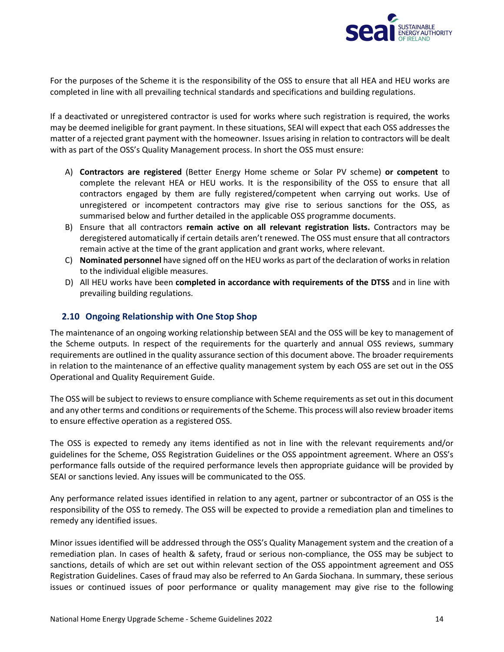

For the purposes of the Scheme it is the responsibility of the OSS to ensure that all HEA and HEU works are completed in line with all prevailing technical standards and specifications and building regulations.

If a deactivated or unregistered contractor is used for works where such registration is required, the works may be deemed ineligible for grant payment. In these situations, SEAI will expect that each OSS addresses the matter of a rejected grant payment with the homeowner. Issues arising in relation to contractors will be dealt with as part of the OSS's Quality Management process. In short the OSS must ensure:

- A) **Contractors are registered** (Better Energy Home scheme or Solar PV scheme) **or competent** to complete the relevant HEA or HEU works. It is the responsibility of the OSS to ensure that all contractors engaged by them are fully registered/competent when carrying out works. Use of unregistered or incompetent contractors may give rise to serious sanctions for the OSS, as summarised below and further detailed in the applicable OSS programme documents.
- B) Ensure that all contractors **remain active on all relevant registration lists.** Contractors may be deregistered automatically if certain details aren't renewed. The OSS must ensure that all contractors remain active at the time of the grant application and grant works, where relevant.
- C) **Nominated personnel** have signed off on the HEU works as part of the declaration of works in relation to the individual eligible measures.
- D) All HEU works have been **completed in accordance with requirements of the DTSS** and in line with prevailing building regulations.

#### <span id="page-13-0"></span>**2.10 Ongoing Relationship with One Stop Shop**

The maintenance of an ongoing working relationship between SEAI and the OSS will be key to management of the Scheme outputs. In respect of the requirements for the quarterly and annual OSS reviews, summary requirements are outlined in the quality assurance section of this document above. The broader requirements in relation to the maintenance of an effective quality management system by each OSS are set out in the OSS Operational and Quality Requirement Guide.

The OSS will be subject to reviews to ensure compliance with Scheme requirements as set out in this document and any other terms and conditions or requirements of the Scheme. This process will also review broader items to ensure effective operation as a registered OSS.

The OSS is expected to remedy any items identified as not in line with the relevant requirements and/or guidelines for the Scheme, OSS Registration Guidelines or the OSS appointment agreement. Where an OSS's performance falls outside of the required performance levels then appropriate guidance will be provided by SEAI or sanctions levied. Any issues will be communicated to the OSS.

Any performance related issues identified in relation to any agent, partner or subcontractor of an OSS is the responsibility of the OSS to remedy. The OSS will be expected to provide a remediation plan and timelines to remedy any identified issues.

Minor issues identified will be addressed through the OSS's Quality Management system and the creation of a remediation plan. In cases of health & safety, fraud or serious non-compliance, the OSS may be subject to sanctions, details of which are set out within relevant section of the OSS appointment agreement and OSS Registration Guidelines. Cases of fraud may also be referred to An Garda Siochana. In summary, these serious issues or continued issues of poor performance or quality management may give rise to the following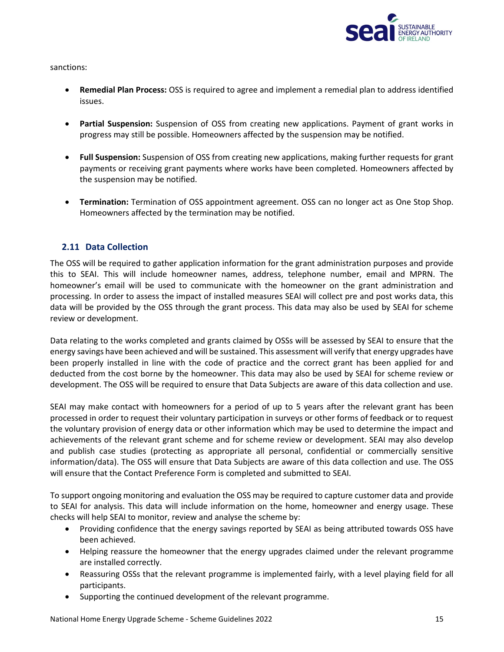

sanctions:

- **Remedial Plan Process:** OSS is required to agree and implement a remedial plan to address identified issues.
- **Partial Suspension:** Suspension of OSS from creating new applications. Payment of grant works in progress may still be possible. Homeowners affected by the suspension may be notified.
- **Full Suspension:** Suspension of OSS from creating new applications, making further requests for grant payments or receiving grant payments where works have been completed. Homeowners affected by the suspension may be notified.
- **Termination:** Termination of OSS appointment agreement. OSS can no longer act as One Stop Shop. Homeowners affected by the termination may be notified.

#### <span id="page-14-0"></span>**2.11 Data Collection**

The OSS will be required to gather application information for the grant administration purposes and provide this to SEAI. This will include homeowner names, address, telephone number, email and MPRN. The homeowner's email will be used to communicate with the homeowner on the grant administration and processing. In order to assess the impact of installed measures SEAI will collect pre and post works data, this data will be provided by the OSS through the grant process. This data may also be used by SEAI for scheme review or development.

Data relating to the works completed and grants claimed by OSSs will be assessed by SEAI to ensure that the energy savings have been achieved and will be sustained. This assessment will verify that energy upgrades have been properly installed in line with the code of practice and the correct grant has been applied for and deducted from the cost borne by the homeowner. This data may also be used by SEAI for scheme review or development. The OSS will be required to ensure that Data Subjects are aware of this data collection and use.

SEAI may make contact with homeowners for a period of up to 5 years after the relevant grant has been processed in order to request their voluntary participation in surveys or other forms of feedback or to request the voluntary provision of energy data or other information which may be used to determine the impact and achievements of the relevant grant scheme and for scheme review or development. SEAI may also develop and publish case studies (protecting as appropriate all personal, confidential or commercially sensitive information/data). The OSS will ensure that Data Subjects are aware of this data collection and use. The OSS will ensure that the Contact Preference Form is completed and submitted to SEAI.

To support ongoing monitoring and evaluation the OSS may be required to capture customer data and provide to SEAI for analysis. This data will include information on the home, homeowner and energy usage. These checks will help SEAI to monitor, review and analyse the scheme by:

- Providing confidence that the energy savings reported by SEAI as being attributed towards OSS have been achieved.
- Helping reassure the homeowner that the energy upgrades claimed under the relevant programme are installed correctly.
- Reassuring OSSs that the relevant programme is implemented fairly, with a level playing field for all participants.
- Supporting the continued development of the relevant programme.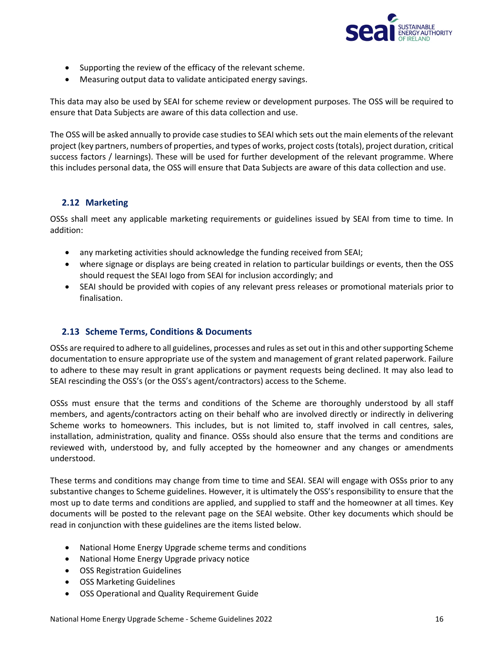

- Supporting the review of the efficacy of the relevant scheme.
- Measuring output data to validate anticipated energy savings.

This data may also be used by SEAI for scheme review or development purposes. The OSS will be required to ensure that Data Subjects are aware of this data collection and use.

The OSS will be asked annually to provide case studies to SEAI which sets out the main elements of the relevant project (key partners, numbers of properties, and types of works, project costs (totals), project duration, critical success factors / learnings). These will be used for further development of the relevant programme. Where this includes personal data, the OSS will ensure that Data Subjects are aware of this data collection and use.

#### <span id="page-15-0"></span>**2.12 Marketing**

OSSs shall meet any applicable marketing requirements or guidelines issued by SEAI from time to time. In addition:

- any marketing activities should acknowledge the funding received from SEAI;
- where signage or displays are being created in relation to particular buildings or events, then the OSS should request the SEAI logo from SEAI for inclusion accordingly; and
- SEAI should be provided with copies of any relevant press releases or promotional materials prior to finalisation.

#### <span id="page-15-1"></span>**2.13 Scheme Terms, Conditions & Documents**

OSSs are required to adhere to all guidelines, processes and rules as set out in this and other supporting Scheme documentation to ensure appropriate use of the system and management of grant related paperwork. Failure to adhere to these may result in grant applications or payment requests being declined. It may also lead to SEAI rescinding the OSS's (or the OSS's agent/contractors) access to the Scheme.

OSSs must ensure that the terms and conditions of the Scheme are thoroughly understood by all staff members, and agents/contractors acting on their behalf who are involved directly or indirectly in delivering Scheme works to homeowners. This includes, but is not limited to, staff involved in call centres, sales, installation, administration, quality and finance. OSSs should also ensure that the terms and conditions are reviewed with, understood by, and fully accepted by the homeowner and any changes or amendments understood.

These terms and conditions may change from time to time and SEAI. SEAI will engage with OSSs prior to any substantive changes to Scheme guidelines. However, it is ultimately the OSS's responsibility to ensure that the most up to date terms and conditions are applied, and supplied to staff and the homeowner at all times. Key documents will be posted to the relevant page on the SEAI website. Other key documents which should be read in conjunction with these guidelines are the items listed below.

- National Home Energy Upgrade scheme terms and conditions
- National Home Energy Upgrade privacy notice
- OSS Registration Guidelines
- OSS Marketing Guidelines
- OSS Operational and Quality Requirement Guide